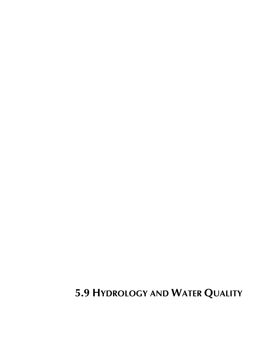# **5.9 HYDROLOGY AND WATER QUALITY**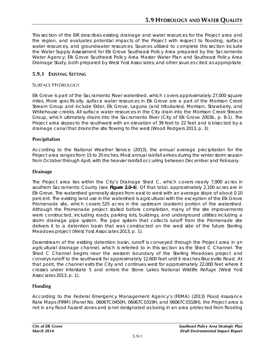This section of the EIR describes existing drainage and water resources for the Project area and the region, and evaluates potential impacts of the Project with respect to flooding, surface water resources, and groundwater resources. Sources utilized to complete this section include the *Water Supply Assessment for Elk Grove Southeast Policy Area* prepared by the Sacramento Water Agency; *Elk Grove Southeast Policy Area Master Water Plan* and *Southeast Policy Area Drainage Study*, both prepared by West Yost Associates; and other sources cited as appropriate.

# **5.9.1 EXISTING SETTING**

# SURFACE HYDROLOGY

Elk Grove is part of the Sacramento River watershed, which covers approximately 27,000 square miles. More specifically, surface water resources in Elk Grove are a part of the Morrison Creek Stream Group and include Elder, Elk Grove, Laguna (and tributaries), Morrison, Strawberry, and Whitehouse creeks. All surface water resources in the City drain into the Morrison Creek Stream Group, which ultimately drains into the Sacramento River (City of Elk Grove 2003b, p. 8-1). The Project area slopes to the southwest with an elevation of 39 feet to 22 feet and is bisected by a drainage canal that drains the site flowing to the west (Wood Rodgers 2013, p. 3).

## **Precipitation**

According to the National Weather Service (2013), the annual average precipitation for the Project area ranges from 15 to 20 inches. Most annual rainfall arrives during the winter storm season from October through April, with the heavier rainfall occurring between December and February.

# **Drainage**

The Project area lies within the City's Drainage Shed C, which covers nearly 7,900 acres in southern Sacramento County (see **Figure 2.0-4**). Of that total, approximately 2,100 acres are in Elk Grove. The watershed generally slopes from east to west with an average slope of about 0.10 percent. The existing land use in the watershed is agricultural with the exception of the Elk Grove Promenade site, which covers 525 acres in the upstream (eastern) portion of the watershed. Although the Promenade project stalled before completion, many of the site improvements were constructed, including roads, parking lots, buildings, and underground utilities including a storm drainage pipe system. The pipe system that collects runoff from the Promenade site delivers it to a detention basin that was constructed on the west side of the future Sterling Meadows project (West Yost Associates 2013, p. 1).

Downstream of the existing detention basin, runoff is conveyed through the Project area in an agricultural drainage channel, which is referred to in this section as the Shed C Channel. The Shed C Channel begins near the western boundary of the Sterling Meadows project and conveys runoff to the southwest for approximately 12,600 feet until it reaches Bruceville Road. At that point, the channel exits the City and continues west for approximately 22,000 feet where it crosses under Interstate 5 and enters the Stone Lakes National Wildlife Refuge (West Yost Associates 2013, p. 1).

# **Flooding**

According to the Federal Emergency Management Agency's (FEMA) (2013) Flood Insurance Rate Maps (FIRM) (Panel No. 06067C0450H, 06067C0319H, and 06067C0318H), the Project area is not in any flood hazard zones and is not designated as being in an area protected from flooding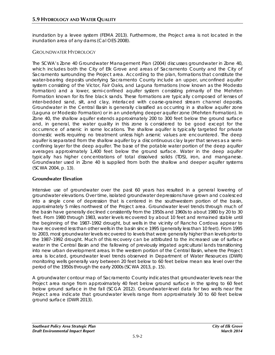inundation by a levee system (FEMA 2013). Furthermore, the Project area is not located in the inundation area of any dams (Cal OES 2008).

## GROUNDWATER HYDROLOGY

The SCWA's Zone 40 Groundwater Management Plan (2004) discusses groundwater in Zone 40, which includes both the City of Elk Grove and areas of Sacramento County and the City of Sacramento surrounding the Project area. According to the plan, formations that constitute the water-bearing deposits underlying Sacramento County include an upper, unconfined aquifer system consisting of the Victor, Fair Oaks, and Laguna formations (now known as the Modesto Formation) and a lower, semi-confined aquifer system consisting primarily of the Mehrten Formation known for its fine black sands. These formations are typically composed of lenses of inter-bedded sand, silt, and clay, interlaced with coarse-grained stream channel deposits. Groundwater in the Central Basin is generally classified as occurring in a shallow aquifer zone (Laguna or Modesto Formation) or in an underlying deeper aquifer zone (Mehrten Formation). In Zone 40, the shallow aquifer extends approximately 200 to 300 feet below the ground surface and, in general, the water quality in this zone is considered to be good except for the occurrence of arsenic in some locations. The shallow aquifer is typically targeted for private domestic wells requiring no treatment unless high arsenic values are encountered. The deep aquifer is separated from the shallow aquifer by a discontinuous clay layer that serves as a semiconfining layer for the deep aquifer. The base of the potable water portion of the deep aquifer averages approximately 1,400 feet below the ground surface. Water in the deep aquifer typically has higher concentrations of total dissolved solids (TDS), iron, and manganese. Groundwater used in Zone 40 is supplied from both the shallow and deeper aquifer systems (SCWA 2004, p. 13).

## **Groundwater Elevation**

Intensive use of groundwater over the past 60 years has resulted in a general lowering of groundwater elevations. Over time, isolated groundwater depressions have grown and coalesced into a single cone of depression that is centered in the southwestern portion of the basin, approximately 5 miles northwest of the Project area. Groundwater level trends through much of the basin have generally declined consistently from the 1950s and 1960s to about 1980 by 20 to 30 feet. From 1980 through 1983, water levels recovered by about 10 feet and remained stable until the beginning of the 1987–1992 drought, but wells in the vicinity of Rancho Cordova appear to have recovered less than other wells in the basin since 1995 (generally less than 10 feet). From 1995 to 2003, most groundwater levels recovered to levels that were generally higher than levels prior to the 1987–1992 drought. Much of this recovery can be attributed to the increased use of surface water in the Central Basin and the fallowing of previously irrigated agricultural lands transitioning into new urban development areas. In the western portion of the Central Basin, where the Project area is located, groundwater level trends observed in Department of Water Resources (DWR) monitoring wells generally vary between 20 feet below to 60 feet below mean sea level over the period of the 1950s through the early 2000s (SCWA 2013, p. 15).

A groundwater contour map of Sacramento County indicates that groundwater levels near the Project area range from approximately 40 feet below ground surface in the spring to 60 feet below ground surface in the fall (SCGA 2012). Groundwater-level data for two wells near the Project area indicate that groundwater levels range from approximately 30 to 60 feet below ground surface (DWR 2013).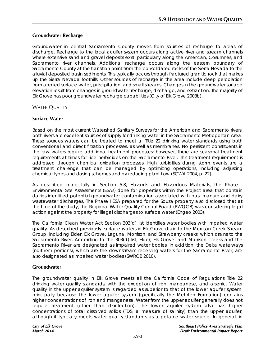## **Groundwater Recharge**

Groundwater in central Sacramento County moves from sources of recharge to areas of discharge. Recharge to the local aquifer system occurs along active river and stream channels where extensive sand and gravel deposits exist, particularly along the American, Cosumnes, and Sacramento river channels. Additional recharge occurs along the eastern boundary of Sacramento County at the transition point from the consolidated rocks of the Sierra Nevada to the alluvial deposited basin sediments. This typically occurs through fractured granitic rock that makes up the Sierra Nevada foothills. Other sources of recharge in the area include deep percolation from applied surface water, precipitation, and small streams. Changes in the groundwater surface elevation result from changes in groundwater recharge, discharge, and extraction. The majority of Elk Grove has poor groundwater recharge capabilities (City of Elk Grove 2003b).

## **WATER OUALITY**

## **Surface Water**

Based on the most current Watershed Sanitary Surveys for the American and Sacramento rivers, both rivers are excellent sources of supply for drinking water in the Sacramento Metropolitan Area. These sources waters can be treated to meet all Title 22 drinking water standards using both conventional and direct filtration processes, as well as membranes. No persistent constituents in the raw waters require additional treatment processes; however, there are seasonal treatment requirements at times for rice herbicides on the Sacramento River. This treatment requirement is addressed through chemical oxidation processes. High turbidities during storm events are a treatment challenge that can be managed by optimizing operations, including adjusting chemical types and dosing schemes and by reducing plant flow (SCWA 2004, p. 22).

As described more fully in Section 5.8, Hazards and Hazardous Materials, the Phase I Environmental Site Assessments (ESAs) done for properties within the Project area that contain dairies identified potential groundwater contamination associated with past manure and dairy wastewater discharges. The Phase I ESA prepared for the Souza property also disclosed that at the time of the study, the Regional Water Quality Control Board (RWQCB) was considering legal action against the property for illegal discharges to surface water (Engeo 2003).

The California Clean Water Act Section 303(d) list identifies water bodies with impaired water quality. As described previously, surface waters in Elk Grove drain to the Morrison Creek Stream Group, including Elder, Elk Grove, Laguna, Morrison, and Strawberry creeks, which drains to the Sacramento River. According to the 303(d) list, Elder, Elk Grove, and Morrison creeks and the Sacramento River are designated as impaired water bodies. In addition, the Delta waterways (northern portions), which are the downstream receiving waters for the Sacramento River, are also designated as impaired water bodies (SWRCB 2010).

## **Groundwater**

The groundwater quality in Elk Grove meets all the California Code of Regulations Title 22 drinking water quality standards, with the exception of iron, manganese, and arsenic. Water quality in the upper aquifer system is regarded as superior to that of the lower aquifer system, principally because the lower aquifer system (specifically the Mehrten Formation) contains higher concentrations of iron and manganese. Water from the upper aquifer generally does not require treatment (other than disinfection). The lower aquifer system also has higher concentrations of total dissolved solids (TDS, a measure of salinity) than the upper aquifer, although it typically meets water quality standards as a potable water source. In general, in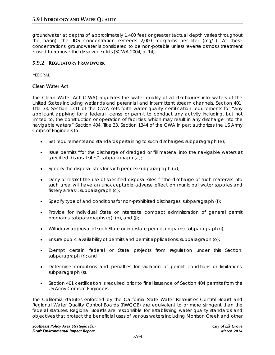groundwater at depths of approximately 1,400 feet or greater (actual depth varies throughout the basin), the TDS concentration exceeds 2,000 milligrams per liter (mg/L). At these concentrations, groundwater is considered to be non-potable unless reverse osmosis treatment is used to remove the dissolved solids (SCWA 2004, p. 14).

# **5.9.2 REGULATORY FRAMEWORK**

FEDERAL

## **Clean Water Act**

The Clean Water Act (CWA) regulates the water quality of all discharges into waters of the United States including wetlands and perennial and intermittent stream channels. Section 401, Title 33, Section 1341 of the CWA sets forth water quality certification requirements for "any applicant applying for a federal license or permit to conduct any activity including, but not limited to, the construction or operation of facilities, which may result in any discharge into the navigable waters." Section 404, Title 33, Section 1344 of the CWA in part authorizes the US Army Corps of Engineers to:

- Set requirements and standards pertaining to such discharges: subparagraph (e);
- Issue permits "for the discharge of dredged or fill material into the navigable waters at specified disposal sites": subparagraph (a);
- Specify the disposal sites for such permits: subparagraph  $(b)$ ;
- Deny or restrict the use of specified disposal sites if "the discharge of such materials into such area will have an unacceptable adverse effect on municipal water supplies and fishery areas": subparagraph (c);
- Specify type of and conditions for non-prohibited discharges: subparagraph (f);
- Provide for individual State or interstate compact administration of general permit programs: subparagraphs (g), (h), and (j);
- Withdraw approval of such State or interstate permit programs: subparagraph (i);
- Ensure public availability of permits and permit applications: subparagraph (o);
- Exempt certain federal or State projects from regulation under this Section: subparagraph (r); and
- Determine conditions and penalties for violation of permit conditions or limitations: subparagraph (s).
- Section 401 certification is required prior to final issuance of Section 404 permits from the US Army Corps of Engineers.

The California statutes enforced by the California State Water Resources Control Board and Regional Water Quality Control Boards (RWQCB) are equivalent to or more stringent than the federal statutes. Regional Boards are responsible for establishing water quality standards and objectives that protect the beneficial uses of various waters including Morrison Creek and other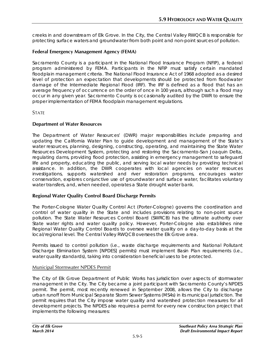creeks in and downstream of Elk Grove. In the City, the Central Valley RWQCB is responsible for protecting surface waters and groundwater from both point and non-point sources of pollution.

## **Federal Emergency Management Agency (FEMA)**

Sacramento County is a participant in the National Flood Insurance Program (NFIP), a federal program administered by FEMA. Participants in the NFIP must satisfy certain mandated floodplain management criteria. The National Flood Insurance Act of 1968 adopted as a desired level of protection an expectation that developments should be protected from floodwater damage of the Intermediate Regional Flood (IRF). The IRF is defined as a flood that has an average frequency of occurrence on the order of once in 100 years, although such a flood may occur in any given year. Sacramento County is occasionally audited by the DWR to ensure the proper implementation of FEMA floodplain management regulations.

**STATE** 

## **Department of Water Resources**

The Department of Water Resources' (DWR) major responsibilities include preparing and updating the California Water Plan to guide development and management of the State's water resources, planning, designing, constructing, operating, and maintaining the State Water Resources Development System, protecting and restoring the Sacramento-San Joaquin Delta, regulating dams, providing flood protection, assisting in emergency management to safeguard life and property, educating the public, and serving local water needs by providing technical assistance. In addition, the DWR cooperates with local agencies on water resources investigations, supports watershed and river restoration programs, encourages water conservation, explores conjunctive use of groundwater and surface water, facilitates voluntary water transfers, and, when needed, operates a State drought water bank.

## **Regional Water Quality Control Board Discharge Permits**

The Porter-Cologne Water Quality Control Act (Porter-Cologne) governs the coordination and control of water quality in the State and includes provisions relating to non-point source pollution. The State Water Resources Control Board (SWRCB) has the ultimate authority over State water rights and water quality policy. However, Porter-Cologne also establishes nine Regional Water Quality Control Boards to oversee water quality on a day-to-day basis at the local/regional level. The Central Valley RWQCB oversees the Elk Grove area.

Permits issued to control pollution (i.e., waste discharge requirements and National Pollutant Discharge Elimination System [NPDES] permits) must implement Basin Plan requirements (i.e., water quality standards), taking into consideration beneficial uses to be protected.

## Municipal Stormwater NPDES Permit

The City of Elk Grove Department of Public Works has jurisdiction over aspects of stormwater management in the City. The City became a joint participant with Sacramento County's NPDES permit. The permit, most recently renewed in September 2008, allows the City to discharge urban runoff from Municipal Separate Storm Sewer Systems (MS4s) in its municipal jurisdiction. The permit requires that the City impose water quality and watershed protection measures for all development projects. The NPDES also requires a permit for every new construction project that implements the following measures: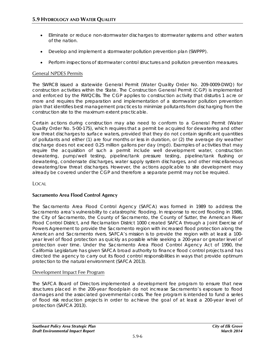- Eliminate or reduce non-stormwater discharges to stormwater systems and other waters of the nation.
- Develop and implement a stormwater pollution prevention plan (SWPPP).
- Perform inspections of stormwater control structures and pollution prevention measures.

## General NPDES Permits

The SWRCB issued a statewide General Permit (Water Quality Order No. 209-0009-DWQ) for construction activities within the State. The Construction General Permit (CGP) is implemented and enforced by the RWQCBs. The CGP applies to construction activity that disturbs 1 acre or more and requires the preparation and implementation of a stormwater pollution prevention plan that identifies best management practices to minimize pollutants from discharging from the construction site to the maximum extent practicable.

Certain actions during construction may also need to conform to a General Permit (Water Quality Order No. 5-00-175), which requires that a permit be acquired for dewatering and other low threat discharges to surface waters, provided that they do not contain significant quantities of pollutants and either (1) are four months or less in duration, or (2) the average dry weather discharge does not exceed 0.25 million gallons per day (mgd). Examples of activities that may require the acquisition of such a permit include well development water, construction dewatering, pump/well testing, pipeline/tank pressure testing, pipeline/tank flushing or dewatering, condensate discharges, water supply system discharges, and other miscellaneous dewatering/low threat discharges. However, the actions applicable to site development may already be covered under the CGP and therefore a separate permit may not be required.

LOCAL

## **Sacramento Area Flood Control Agency**

The Sacramento Area Flood Control Agency (SAFCA) was formed in 1989 to address the Sacramento area's vulnerability to catastrophic flooding. In response to record flooding in 1986, the [City of Sacramento,](http://www.cityofsacramento.org/) the [County of Sacramento,](http://www.saccounty.net/) the [County of Sutter,](http://www.co.sutter.ca.us/) the [American River](http://www.arfcd.org/)  [Flood Control District,](http://www.arfcd.org/) and [Reclamation District 1000](http://www.rd1000.org/) created SAFCA through a [Joint Exercise of](http://www.safca.org/about/jointExercise.html)  [Powers Agreement](http://www.safca.org/about/jointExercise.html) to provide the Sacramento region with increased flood protection along the American and Sacramento rivers. SAFCA's mission is to provide the region with at least a 100 year level of flood protection as quickly as possible while seeking a 200-year or greater level of protection over time. Under the Sacramento Area Flood Control Agency Act of 1990, the California Legislature has given SAFCA broad authority to finance flood control projects and has directed the agency to carry out its flood control responsibilities in ways that provide optimum protection to the natural environment (SAFCA 2013).

## Development Impact Fee Program

The SAFCA Board of Directors implemented a development fee program to ensure that new structures placed in the 200-year floodplain do not increase Sacramento's exposure to flood damages and the associated governmental costs. The fee program is intended to fund a series of flood risk reduction projects in order to achieve the goal of at least a 200-year level of protection (SAFCA 2013).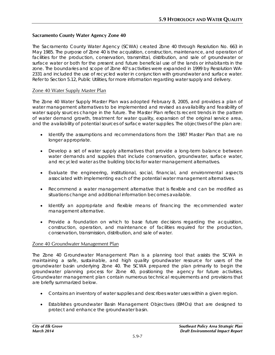## **Sacramento County Water Agency Zone 40**

The Sacramento County Water Agency (SCWA) created Zone 40 through Resolution No. 663 in May 1985. The purpose of Zone 40 is the acquisition, construction, maintenance, and operation of facilities for the production, conservation, transmittal, distribution, and sale of groundwater or surface water or both for the present and future beneficial use of the lands or inhabitants in the zone. The boundaries and scope of Zone 40's activities were expanded in 1999 by Resolution WA-2331 and included the use of recycled water in conjunction with groundwater and surface water. Refer to Section 5.12, Public Utilities, for more information regarding water supply and delivery.

## Zone 40 Water Supply Master Plan

The Zone 40 Water Supply Master Plan was adopted February 8, 2005, and provides a plan of water management alternatives to be implemented and revised as availability and feasibility of water supply sources change in the future. The Master Plan reflects recent trends in the pattern of water demand growth, treatment for water quality, expansion of the original service area, and the availability of potential sources of surface water supplies. The objectives of the plan are:

- Identify the assumptions and recommendations from the 1987 Master Plan that are no longer appropriate.
- Develop a set of water supply alternatives that provide a long-term balance between water demands and supplies that include conservation, groundwater, surface water, and recycled water as the building blocks for water management alternatives.
- Evaluate the engineering, institutional, social, financial, and environmental aspects associated with implementing each of the potential water management alternatives.
- Recommend a water management alternative that is flexible and can be modified as situations change and additional information becomes available.
- Identify an appropriate and flexible means of financing the recommended water management alternative.
- Provide a foundation on which to base future decisions regarding the acquisition, construction, operation, and maintenance of facilities required for the production, conservation, transmission, distribution, and sale of water.

## Zone 40 Groundwater Management Plan

The Zone 40 Groundwater Management Plan is a planning tool that assists the SCWA in maintaining a safe, sustainable, and high quality groundwater resource for users of the groundwater basin underlying Zone 40. The SCWA prepared the plan primarily to begin the groundwater planning process for Zone 40, positioning the agency for future activities. Groundwater management plan contain numerous technical requirements and provisions that are briefly summarized below.

- Contains an inventory of water supplies and describes water uses within a given region.
- Establishes groundwater Basin Management Objectives (BMOs) that are designed to protect and enhance the groundwater basin.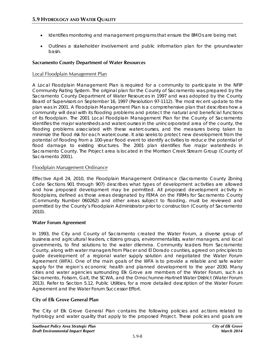- Identifies monitoring and management programs that ensure the BMOs are being met.
- Outlines a stakeholder involvement and public information plan for the groundwater basin.

## **Sacramento County Department of Water Resources**

## Local Floodplain Management Plan

A Local Floodplain Management Plan is required for a community to participate in the NFIP Community Rating System. The original plan for the County of Sacramento was prepared by the Sacramento County Department of Water Resources in 1997 and was adopted by the County Board of Supervisors on September 16, 1997 (Resolution 97-1112). The most recent update to the plan was in 2001. A Floodplain Management Plan is a comprehensive plan that describes how a community will deal with its flooding problems and protect the natural and beneficial functions of its floodplain. The 2001 Local Floodplain Management Plan for the County of Sacramento identifies the major watersheds and watercourses in the unincorporated area of the county, the flooding problems associated with these watercourses, and the measures being taken to minimize the flood risk for each watercourse. It also seeks to protect new development from the potential of flooding from a 100-year flood event to identify activities to reduce the potential of flood damage to existing structures. The 2001 plan identifies five major watersheds in Sacramento County. The Project area is located in the Morrison Creek Stream Group (County of Sacramento 2001).

## Floodplain Management Ordinance

Effective April 24, 2010, the Floodplain Management Ordinance (Sacramento County Zoning Code Sections 901 through 907) describes what types of development activities are allowed and how proposed development may be permitted. All proposed development activity in floodplains, defined as those areas designated by FEMA on the FIRMs for Sacramento County (Community Number 060262) and other areas subject to flooding, must be reviewed and permitted by the County's Floodplain Administrator prior to construction (County of Sacramento 2010).

## **Water Forum Agreement**

In 1993, the City and County of Sacramento created the Water Forum, a diverse group of business and agricultural leaders, citizens groups, environmentalists, water managers, and local governments, to find solutions to the water dilemma. Community leaders from Sacramento County, along with water managers from Placer and El Dorado counties, agreed on principles to guide development of a regional water supply solution and negotiated the Water Forum Agreement (WFA). One of the main goals of the WFA is to provide a reliable and safe water supply for the region's economic health and planned development to the year 2030. Many cities and water agencies surrounding Elk Grove are members of the Water Forum, such as Sacramento, Folsom, Galt, the SCWA, and the Omochumne-Hartnell Water District (Water Forum 2013). Refer to Section 5.12, Public Utilities, for a more detailed description of the Water Forum Agreement and the Water Forum Successor Effort.

## **City of Elk Grove General Plan**

The City of Elk Grove General Plan contains the following policies and actions related to hydrology and water quality that apply to the proposed Project. These policies and goals are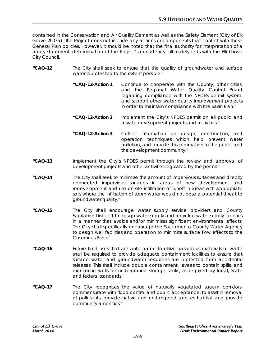contained in the Conservation and Air Quality Element as well as the Safety Element (City of Elk Grove 2003a). The Project does not include any actions or components that conflict with these General Plan policies. However, it should be noted that the final authority for interpretation of a policy statement, determination of the Project's consistency, ultimately rests with the Elk Grove City Council.

- **"CAQ-12** The City shall seek to ensure that the quality of groundwater and surface water is protected to the extent possible."
	- **"CAQ-12-Action 1** Continue to cooperate with the County, other cities, and the Regional Water Quality Control Board regarding compliance with the NPDES permit system, and support other water quality improvement projects in order to maintain compliance with the Basin Plan."
	- **"CAQ-12-Action 2** Implement the City's NPDES permit on all public and private development projects and activities."
	- **"CAQ-12-Action 3** Collect information on design, construction, and operation techniques which help prevent water pollution, and provide this information to the public and the development community."
- **"CAQ-13** Implement the City's NPDES permit through the review and approval of development projects and other activities regulated by the permit."
- **"CAQ-14** The City shall seek to minimize the amount of impervious surfaces and directly connected impervious surfaces in areas of new development and redevelopment and use on-site infiltration of runoff in areas with appropriate soils where the infiltration of storm water would not pose a potential threat to groundwater quality."
- **"CAQ-15** The City shall encourage water supply service providers and County Sanitation District 1 to design water supply and recycled water supply facilities in a manner that avoids and/or minimizes significant environmental effects. The City shall specifically encourage the Sacramento County Water Agency to design well facilities and operation to minimize surface flow effects to the Cosumnes River."
- **"CAQ-16** Future land uses that are anticipated to utilize hazardous materials or waste shall be required to provide adequate containment facilities to ensure that surface water and groundwater resources are protected from accidental releases. This shall include double containment, levees to contain spills, and monitoring wells for underground storage tanks, as required by local, State and federal standards."
- **"CAQ-17** The City recognizes the value of naturally vegetated stream corridors, commensurate with flood control and public acceptance, to assist in removal of pollutants, provide native and endangered species habitat and provide community amenities."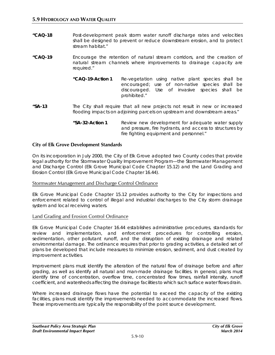- **"CAQ-18** Post-development peak storm water runoff discharge rates and velocities shall be designed to prevent or reduce downstream erosion, and to protect stream habitat."
- **"CAQ-19** Encourage the retention of natural stream corridors, and the creation of natural stream channels where improvements to drainage capacity are required."
	- **"CAQ-19-Action 1** Re-vegetation using native plant species shall be encouraged; use of non-native species shall be discouraged. Use of invasive species shall be prohibited."
- **"SA-13** The City shall require that all new projects not result in new or increased flooding impacts on adjoining parcels on upstream and downstream areas."
	- **"SA-32-Action 1** Review new development for adequate water supply and pressure, fire hydrants, and access to structures by fire fighting equipment and personnel."

## **City of Elk Grove Development Standards**

On its incorporation in July 2000, the City of Elk Grove adopted two County codes that provide legal authority for the Stormwater Quality Improvement Program—the Stormwater Management and Discharge Control (Elk Grove Municipal Code Chapter 15.12) and the Land Grading and Erosion Control (Elk Grove Municipal Code Chapter 16.44).

#### Stormwater Management and Discharge Control Ordinance

Elk Grove Municipal Code Chapter 15.12 provides authority to the City for inspections and enforcement related to control of illegal and industrial discharges to the City storm drainage system and local receiving waters.

#### Land Grading and Erosion Control Ordinance

Elk Grove Municipal Code Chapter 16.44 establishes administrative procedures, standards for review and implementation, and enforcement procedures for controlling erosion, sedimentation, other pollutant runoff, and the disruption of existing drainage and related environmental damage. The ordinance requires that prior to grading activities, a detailed set of plans be developed that include measures to minimize erosion, sediment, and dust created by improvement activities.

Improvement plans must identify the alteration of the natural flow of drainage before and after grading, as well as identify all natural and man-made drainage facilities. In general, plans must identify time of concentration, overflow time, concentrated flow times, rainfall intensity, runoff coefficient, and watersheds affecting the drainage facilities to which such surface water flows drain.

Where increased drainage flows have the potential to exceed the capacity of the existing facilities, plans must identify the improvements needed to accommodate the increased flows. These improvements are typically the responsibility of the point source development.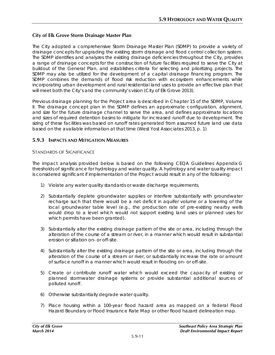## **City of Elk Grove Storm Drainage Master Plan**

The City adopted a comprehensive Storm Drainage Master Plan (SDMP) to provide a variety of drainage concepts for upgrading the existing storm drainage and flood control collection system. The SDMP identifies and analyzes the existing drainage deficiencies throughout the City, provides a range of drainage concepts for the construction of future facilities required to serve the City at buildout of the General Plan, and establishes criteria for selecting and prioritizing projects. The SDMP may also be utilized for the development of a capital drainage financing program. The SDMP combines the demands of flood risk reduction with ecosystem enhancements while incorporating urban development and rural residential land uses to provide an effective plan that will meet both the City's and the community's vision (City of Elk Grove 2013).

Previous drainage planning for the Project area is described in Chapter 15 of the SDMP, Volume II. The drainage concept plan in the SDMP defines an approximate configuration, alignment, and size for the future drainage channel to serve the area, and defines approximate locations and sizes of required detention basins to mitigate for increased runoff due to development. The sizing of these facilities was based on runoff rates generated from assumed future land use data based on the available information at that time (West Yost Associates 2013, p. 1)

## **5.9.3 IMPACTS AND MITIGATION MEASURES**

## STANDARDS OF SIGNIFICANCE

The impact analysis provided below is based on the following CEQA Guidelines Appendix G thresholds of significance for hydrology and water quality. A hydrology and water quality impact is considered significant if implementation of the Project would result in any of the following:

- 1) Violate any water quality standards or waste discharge requirements.
- 2) Substantially deplete groundwater supplies or interfere substantially with groundwater recharge such that there would be a net deficit in aquifer volume or a lowering of the local groundwater table level (e.g., the production rate of pre-existing nearby wells would drop to a level which would not support existing land uses or planned uses for which permits have been granted).
- 3) Substantially alter the existing drainage pattern of the site or area, including through the alteration of the course of a stream or river, in a manner which would result in substantial erosion or siltation on- or off-site.
- 4) Substantially alter the existing drainage pattern of the site or area, including through the alteration of the course of a stream or river, or substantially increase the rate or amount of surface runoff in a manner which would result in flooding on- or off-site.
- 5) Create or contribute runoff water which would exceed the capacity of existing or planned stormwater drainage systems or provide substantial additional sources of polluted runoff.
- 6) Otherwise substantially degrade water quality.
- 7) Place housing within a 100-year flood hazard area as mapped on a federal Flood Hazard Boundary or Flood Insurance Rate Map or other flood hazard delineation map.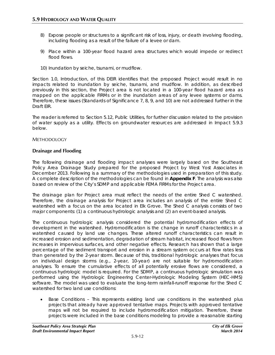- 8) Expose people or structures to a significant risk of loss, injury, or death involving flooding, including flooding as a result of the failure of a levee or dam.
- 9) Place within a 100-year flood hazard area structures which would impede or redirect flood flows.
- 10) Inundation by seiche, tsunami, or mudflow.

Section 1.0, Introduction, of this DEIR identifies that the proposed Project would result in no impacts related to inundation by seiche, tsunami, and mudflow. In addition, as described previously in this section, the Project area is not located in a 100-year flood hazard area as mapped on the applicable FIRMs or in the inundation areas of any levee systems or dams. Therefore, these issues (Standards of Significance 7, 8, 9, and 10) are not addressed further in the Draft EIR.

The reader is referred to Section 5.12, Public Utilities, for further discussion related to the provision of water supply as a utility. Effects on groundwater resources are addressed in Impact 5.9.3 below.

#### METHODOLOGY

#### **Drainage and Flooding**

The following drainage and flooding impact analyses were largely based on the Southeast Policy Area Drainage Study prepared for the proposed Project by West Yost Associates in December 2013. Following is a summary of the methodologies used in preparation of this study. A complete description of the methodologies can be found in **Appendix F**. The analysis was also based on review of the City's SDMP and applicable FEMA FIRMs for the Project area.

The drainage plan for Project area must reflect the needs of the entire Shed C watershed. Therefore, the drainage analysis for Project area includes an analysis of the entire Shed C watershed with a focus on the area located in Elk Grove. The Shed C analysis consists of two major components: (1) a continuous hydrologic analysis and (2) an event-based analysis.

The continuous hydrologic analysis considered the potential hydromodification effects of development in the watershed. Hydromodification is the change in runoff characteristics in a watershed caused by land use changes. These altered runoff characteristics can result in increased erosion and sedimentation, degradation of stream habitat, increased flood flows from increases in impervious surfaces, and other negative effects. Research has shown that a large percentage of the sediment transport and erosion in a stream system occurs at flow rates less than generated by the 2-year storm. Because of this, traditional hydrologic analyses that focus on individual design storms (e.g., 2-year, 10-year) are not suitable for hydromodification analyses. To ensure the cumulative effects of all potentially erosive flows are considered, a continuous hydrologic model is required. For the SDMP, a continuous hydrologic simulation was performed using the Hydrologic Engineering Center-Hydrologic Modeling System (HEC-HMS) software. The model was used to evaluate the long-term rainfall-runoff response for the Shed C watershed for two land use conditions:

• Base Conditions – This represents existing land use conditions in the watershed plus projects that already have approved tentative maps. Projects with approved tentative maps will not be required to include hydromodification mitigation. Therefore, these projects were included in the base conditions modeling to provide a reasonable starting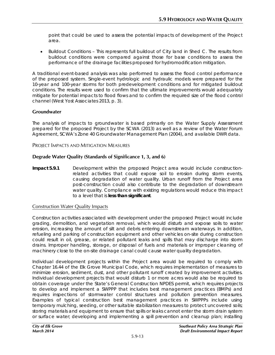point that could be used to assess the potential impacts of development of the Project area.

• Buildout Conditions – This represents full buildout of City land in Shed C. The results from buildout conditions were compared against those for base conditions to assess the performance of the drainage facilities proposed for hydromodification mitigation.

A traditional event-based analysis was also performed to assess the flood control performance of the proposed system. Single-event hydrologic and hydraulic models were prepared for the 10-year and 100-year storms for both predevelopment conditions and for mitigated buildout conditions. The results were used to confirm that the ultimate improvements would adequately mitigate for potential impacts to flood flows and to confirm the required size of the flood control channel (West Yost Associates 2013, p. 3).

## **Groundwater**

The analysis of impacts to groundwater is based primarily on the Water Supply Assessment prepared for the proposed Project by the SCWA (2013) as well as a review of the Water Forum Agreement, SCWA's Zone 40 Groundwater Management Plan (2004), and available DWR data.

PROJECT IMPACTS AND MITIGATION MEASURES

## **Degrade Water Quality (Standards of Significance 1, 3, and 6)**

**Impact 5.9.1** Development within the proposed Project area would include constructionrelated activities that could expose soil to erosion during storm events, causing degradation of water quality. Urban runoff from the Project area post-construction could also contribute to the degradation of downstream water quality. Compliance with existing regulations would reduce this impact to a level that is **less than significant**.

## Construction Water Quality Impacts

Construction activities associated with development under the proposed Project would include grading, demolition, and vegetation removal, which would disturb and expose soils to water erosion, increasing the amount of silt and debris entering downstream waterways. In addition, refueling and parking of construction equipment and other vehicles on-site during construction could result in oil, grease, or related pollutant leaks and spills that may discharge into storm drains. Improper handling, storage, or disposal of fuels and materials or improper cleaning of machinery close to the on-site drainage canal could cause water quality degradation.

Individual development projects within the Project area would be required to comply with Chapter 16.44 of the Elk Grove Municipal Code, which requires implementation of measures to minimize erosion, sediment, dust, and other pollutant runoff created by improvement activities. Individual development projects that would disturb 1 or more acres would also be required to obtain coverage under the State's General Construction NPDES permit, which requires projects to develop and implement a SWPPP that includes best management practices (BMPs) and requires inspections of stormwater control structures and pollution prevention measures. Examples of typical construction best management practices in SWPPPs include using temporary mulching, seeding, or other suitable stabilization measures to protect uncovered soils; storing materials and equipment to ensure that spills or leaks cannot enter the storm drain system or surface water; developing and implementing a spill prevention and cleanup plan; installing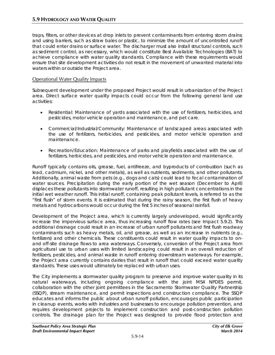traps, filters, or other devices at drop inlets to prevent contaminants from entering storm drains; and using barriers, such as straw bales or plastic, to minimize the amount of uncontrolled runoff that could enter drains or surface water. The discharger must also install structural controls, such as sediment control, as necessary, which would constitute Best Available Technologies (BAT) to achieve compliance with water quality standards. Compliance with these requirements would ensure that site development activities do not result in the movement of unwanted material into waters within or outside the Project area.

## Operational Water Quality Impacts

Subsequent development under the proposed Project would result in urbanization of the Project area. Direct surface water quality impacts could occur from the following general land use activities:

- Residential: Maintenance of yards associated with the use of fertilizers, herbicides, and pesticides, motor vehicle operation and maintenance, and pet care.
- Commercial/Industrial/Community: Maintenance of landscaped areas associated with the use of fertilizers, herbicides, and pesticides, and motor vehicle operation and maintenance.
- Recreation/Education: Maintenance of parks and playfields associated with the use of fertilizers, herbicides, and pesticides, and motor vehicle operation and maintenance.

Runoff typically contains oils, grease, fuel, antifreeze, and byproducts of combustion (such as lead, cadmium, nickel, and other metals), as well as nutrients, sediments, and other pollutants. Additionally, animal waste from pets (e.g., dogs and cats) could lead to fecal contamination of water sources. Precipitation during the early portion of the wet season (December to April) displaces these pollutants into stormwater runoff, resulting in high pollutant concentrations in the initial wet weather runoff. This initial runoff, containing peak pollutant levels, is referred to as the "first flush" of storm events. It is estimated that during the rainy season, the first flush of heavy metals and hydrocarbons would occur during the first 5 inches of seasonal rainfall.

Development of the Project area, which is currently largely undeveloped, would significantly increase the impervious surface area, thus increasing runoff flow rates (see Impact 5.9.2). This additional drainage could result in an increase of urban runoff pollutants and first flush roadway contaminants such as heavy metals, oil, and grease, as well as an increase in nutrients (e.g., fertilizers) and other chemicals. These constituents could result in water quality impacts to onand off-site drainage flows to area waterways. Conversely, conversion of the Project area from agricultural use to urban uses with limited landscaping could result in an overall reduction of fertilizers, pesticides, and animal waste in runoff entering downstream waterways. For example, the Project area currently contains dairies that result in runoff that could exceed water quality standards. These uses would ultimately be replaced with urban uses.

The City implements a stormwater quality program to preserve and improve water quality in its natural waterways, including ongoing compliance with the joint MS4 NPDES permit, collaboration with the other joint permittees in the Sacramento Stormwater Quality Partnership (SSQP), stream maintenance, and permit inspections and construction compliance. The SSQP educates and informs the public about urban runoff pollution, encourages public participation in cleanup events, works with industries and businesses to encourage pollution prevention, and requires development projects to implement construction and post-construction pollution controls. The drainage plan for the Project was designed to provide flood protection and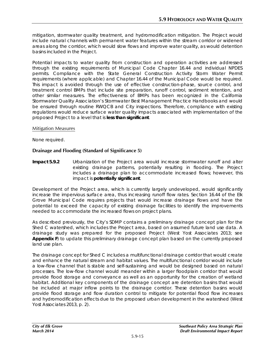mitigation, stormwater quality treatment, and hydromodification mitigation. The Project would include natural channels with permanent water features within the stream corridor or widened areas along the corridor, which would slow flows and improve water quality, as would detention basins included in the Project.

Potential impacts to water quality from construction and operation activities are addressed through the existing requirements of Municipal Code Chapter 16.44 and individual NPDES permits. Compliance with the State General Construction Activity Storm Water Permit requirements (where applicable) and Chapter 16.44 of the Municipal Code would be required. This impact is avoided through the use of effective construction-phase, source control, and treatment control BMPs that include site preparation, runoff control, sediment retention, and other similar measures. The effectiveness of BMPs has been recognized in the California Stormwater Quality Association's Stormwater Best Management Practice Handbooks and would be ensured through routine RWQCB and City inspections. Therefore, compliance with existing regulations would reduce surface water quality impacts associated with implementation of the proposed Project to a level that is **less than significant**.

#### Mitigation Measures

None required.

## **Drainage and Flooding (Standard of Significance 5)**

**Impact 5.9.2** Urbanization of the Project area would increase stormwater runoff and alter existing drainage patterns, potentially resulting in flooding. The Project includes a drainage plan to accommodate increased flows; however, this impact is **potentially significant**.

Development of the Project area, which is currently largely undeveloped, would significantly increase the impervious surface area, thus increasing runoff flow rates. Section 16.44 of the Elk Grove Municipal Code requires projects that would increase drainage flows and have the potential to exceed the capacity of existing drainage facilities to identify the improvements needed to accommodate the increased flows on project plans.

As described previously, the City's SDMP contains a preliminary drainage concept plan for the Shed C watershed, which includes the Project area, based on assumed future land use data. A drainage study was prepared for the proposed Project (West Yost Associates 2013; see **Appendix F**) to update this preliminary drainage concept plan based on the currently proposed land use plan.

The drainage concept for Shed C includes a multifunctional drainage corridor that would create and enhance the natural stream and habitat values. The multifunctional corridor would include a low-flow channel that is stable and self-sustaining and would be designed based on natural processes. The low-flow channel would meander within a larger floodplain corridor that would provide flood storage and conveyance as well as an opportunity for the creation of wetland habitat. Additional key components of the drainage concept are detention basins that would be included at major inflow points to the drainage corridor. These detention basins would provide flood storage and flow duration control to mitigate for potential flood flow increases and hydromodification effects due to the proposed urban development in the watershed (West Yost Associates 2013, p. 2).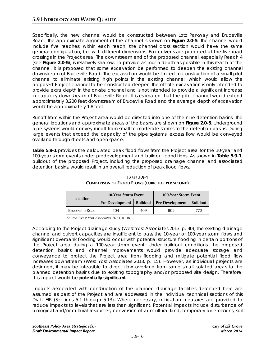Specifically, the new channel would be constructed between Lotz Parkway and Bruceville Road. The approximate alignment of the channel is shown on **Figure 2.0-5**. The channel would include five reaches; within each reach, the channel cross section would have the same general configuration, but with different dimensions. Box culverts are proposed at the five road crossings in the Project area. The downstream end of the proposed channel, especially Reach 4 (see **Figure 2.0-5**), is relatively shallow. To provide as much depth as possible in this reach of the channel, it is proposed that some excavation be performed to deepen the existing channel downstream of Bruceville Road. The excavation would be limited to construction of a small pilot channel to eliminate existing high points in the existing channel, which would allow the proposed Project channel to be constructed deeper. The off-site excavation is only intended to provide extra depth in the on-site channel and is not intended to provide a significant increase in capacity downstream of Bruceville Road. It is estimated that the pilot channel would extend approximately 3,200 feet downstream of Bruceville Road and the average depth of excavation would be approximately 1.8 feet.

Runoff from within the Project area would be directed into one of the nine detention basins. The general locations and approximate areas of the basins are shown on **Figure 2.0-5**. Underground pipe systems would convey runoff from small to moderate storms to the detention basins. During large events that exceed the capacity of the pipe systems, excess flow would be conveyed overland through streets and open space.

**Table 5.9-1** provides the calculated peak flood flows from the Project area for the 10-year and 100-year storm events under predevelopment and buildout conditions. As shown in **Table 5.9-1**, buildout of the proposed Project, including the proposed drainage channel and associated detention basins, would result in an overall reduction of peak flood flows.

| <b>Location</b>        | <b>10-Year Storm Event</b> |                 | <b>100-Year Storm Event</b> |                 |
|------------------------|----------------------------|-----------------|-----------------------------|-----------------|
|                        | <b>Pre-Development</b>     | <b>Buildout</b> | <b>Pre-Development</b>      | <b>Buildout</b> |
| <b>Bruceville Road</b> | 504                        | 409             | 802                         | 772             |

**TABLE 5.9-1 COMPARISON OF FLOOD FLOWS (CUBIC FEET PER SECOND)**

*Source: West Yost Associates 2013, p. 30*

According to the Project drainage study (West Yost Associates 2013, p. 30), the existing drainage channel and culvert capacities are insufficient to pass the 10-year or 100-year storm flows and significant overbank flooding would occur with potential structure flooding in certain portions of the Project area during a 100-year storm event. Under buildout conditions, the proposed detention basins and channel improvements would provide adequate storage and conveyance to protect the Project area from flooding and mitigate potential flood flow increases downstream (West Yost Associates 2013, p. 15). However, as individual projects are designed, it may be infeasible to direct flow overland from some small isolated areas to the planned detention basins due to existing topography and/or proposed site design. Therefore, this impact would be **potentially significant**.

Impacts associated with construction of the planned drainage facilities described here are assumed as part of the Project and are addressed in the individual technical sections of this Draft EIR (Sections 5.1 through 5.13). Where necessary, mitigation measures are provided to reduce impacts to levels that are less than significant. Potential impacts include disturbance of biological and/or cultural resources, conversion of agricultural land, temporary air emissions, soil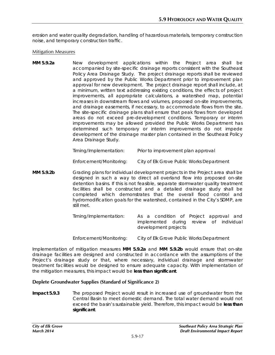erosion and water quality degradation, handling of hazardous materials, temporary construction noise, and temporary construction traffic.

#### Mitigation Measures

**MM 5.9.2a** New development applications within the Project area shall be accompanied by site-specific drainage reports consistent with the Southeast Policy Area Drainage Study. The project drainage reports shall be reviewed and approved by the Public Works Department prior to improvement plan approval for new development. The project drainage report shall include, at a minimum, written text addressing existing conditions, the effects of project improvements, all appropriate calculations, a watershed map, potential increases in downstream flows and volumes, proposed on-site improvements, and drainage easements, if necessary, to accommodate flows from the site. The site-specific drainage plans shall ensure that peak flows from developed areas do not exceed pre-development conditions. Temporary or interim improvements may be allowed provided the Public Works Department has determined such temporary or interim improvements do not impede development of the drainage master plan contained in the Southeast Policy Area Drainage Study.

| Timing/Implementation: | Prior to improvement plan approval |
|------------------------|------------------------------------|
|                        |                                    |
|                        |                                    |
|                        |                                    |

*Enforcement/Monitoring: City of Elk Grove Public Works Department*

**MM 5.9.2b** Grading plans for individual development projects in the Project area shall be designed in such a way to direct all overland flow into proposed on-site detention basins. If this is not feasible, separate stormwater quality treatment facilities shall be constructed and a detailed drainage study shall be completed which demonstrates that the overall flood control and hydromodification goals for the watershed, contained in the City's SDMP, are still met.

| Timing/Implementation:  | As a condition of Project approval and<br>implemented during review of individual<br>development projects |
|-------------------------|-----------------------------------------------------------------------------------------------------------|
| Enforcement/Monitoring: | City of Elk Grove Public Works Department                                                                 |

Implementation of mitigation measures **MM 5.9.2a** and **MM 5.9.2b** would ensure that on-site drainage facilities are designed and constructed in accordance with the assumptions of the Project's drainage study or that, where necessary, individual drainage and stormwater treatment facilities would be designed to ensure adequate capacity. With implementation of the mitigation measures, this impact would be **less than significant**.

## **Deplete Groundwater Supplies (Standard of Significance 2)**

**Impact 5.9.3** The proposed Project would result in increased use of groundwater from the Central Basin to meet domestic demand. The total water demand would not exceed the basin's sustainable yield. Therefore, this impact would be **less than significant**.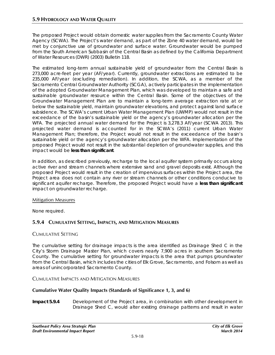The proposed Project would obtain domestic water supplies from the Sacramento County Water Agency (SCWA). The Project's water demand, as part of the Zone 40 water demand, would be met by conjunctive use of groundwater and surface water. Groundwater would be pumped from the South American Subbasin of the Central Basin as defined by the California Department of Water Resources (DWR) (2003) Bulletin 118.

The estimated long-term annual sustainable yield of groundwater from the Central Basin is 273,000 acre-feet per year (AF/year). Currently, groundwater extractions are estimated to be 235,000 AF/year (excluding remediation). In addition, the SCWA, as a member of the Sacramento Central Groundwater Authority (SCGA), actively participates in the implementation of the adopted Groundwater Management Plan, which was developed to maintain a safe and sustainable groundwater resource within the Central Basin. Some of the objectives of the Groundwater Management Plan are to maintain a long-term average extraction rate at or below the sustainable yield, maintain groundwater elevations, and protect against land surface subsidence. The SCWA's current Urban Water Management Plan (UWMP) would not result in the exceedance of the basin's sustainable yield or the agency's groundwater allocation per the WFA. The projected annual water demand for the Project is 3,278.3 AF/year (SCWA 2013). This projected water demand is accounted for in the SCWA's (2011) current Urban Water Management Plan; therefore, the Project would not result in the exceedance of the basin's sustainable yield or the agency's groundwater allocation per the WFA. Implementation of the proposed Project would not result in the substantial depletion of groundwater supplies, and this impact would be **less than significant**.

In addition, as described previously, recharge to the local aquifer system primarily occurs along active river and stream channels where extensive sand and gravel deposits exist. Although the proposed Project would result in the creation of impervious surfaces within the Project area, the Project area does not contain any river or stream channels or other conditions conducive to significant aquifer recharge. Therefore, the proposed Project would have a **less than significant** impact on groundwater recharge.

## Mitigation Measures

None required.

## **5.9.4 CUMULATIVE SETTING, IMPACTS, AND MITIGATION MEASURES**

## CUMULATIVE SETTING

The cumulative setting for drainage impacts is the area identified as Drainage Shed C in the City's Storm Drainage Master Plan, which covers nearly 7,900 acres in southern Sacramento County. The cumulative setting for groundwater impacts is the area that pumps groundwater from the Central Basin, which includes the cities of Elk Grove, Sacramento, and Folsom as well as areas of unincorporated Sacramento County.

## CUMULATIVE IMPACTS AND MITIGATION MEASURES

## **Cumulative Water Quality Impacts (Standards of Significance 1, 3, and 6)**

**Impact 5.9.4** Development of the Project area, in combination with other development in Drainage Shed C, would alter existing drainage patterns and result in water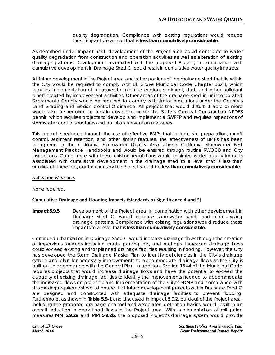quality degradation. Compliance with existing regulations would reduce these impacts to a level that is **less than cumulatively considerable**.

As described under Impact 5.9.1, development of the Project area could contribute to water quality degradation from construction and operation activities as well as alteration of existing drainage patterns. Development associated with the proposed Project, in combination with cumulative development in Drainage Shed C, could result in cumulative water quality impacts.

All future development in the Project area and other portions of the drainage shed that lie within the City would be required to comply with Elk Grove Municipal Code Chapter 16.44, which requires implementation of measures to minimize erosion, sediment, dust, and other pollutant runoff created by improvement activities. Other areas of the drainage shed in unincorporated Sacramento County would be required to comply with similar regulations under the County's Land Grading and Erosion Control Ordinance. All projects that would disturb 1 acre or more would also be required to obtain coverage under the State's General Construction NPDES permit, which requires projects to develop and implement a SWPPP and requires inspections of stormwater control structures and pollution prevention measures.

This impact is reduced through the use of effective BMPs that include site preparation, runoff control, sediment retention, and other similar features. The effectiveness of BMPs has been recognized in the California Stormwater Quality Association's California Stormwater Best Management Practice Handbooks and would be ensured through routine RWQCB and City inspections. Compliance with these existing regulations would minimize water quality impacts associated with cumulative development in the drainage shed to a level that is less than significant; therefore, contributions by the Project would be **less than cumulatively considerable**.

#### Mitigation Measures

None required.

## **Cumulative Drainage and Flooding Impacts (Standards of Significance 4 and 5)**

**Impact 5.9.5** Development of the Project area, in combination with other development in Drainage Shed C, would increase stormwater runoff and alter existing drainage patterns. Compliance with existing regulations would reduce these impacts to a level that is **less than cumulatively considerable**.

Continued urbanization in Drainage Shed C would increase drainage flows through the creation of impervious surfaces including roads, parking lots, and rooftops. Increased drainage flows could exceed existing and/or planned drainage facilities, resulting in flooding. However, the City has developed the Storm Drainage Master Plan to identify deficiencies in the City's drainage system and plan for necessary improvements to accommodate drainage flows as the City is built out in accordance with the General Plan. In addition, Section 16.44 of the Municipal Code requires projects that would increase drainage flows and have the potential to exceed the capacity of existing drainage facilities to identify the improvements needed to accommodate the increased flows on project plans. Implementation of the City's SDMP and compliance with this existing requirement would ensure that future development projects within Drainage Shed C are designed and constructed with adequate drainage facilities to prevent flooding. Furthermore, as shown in **Table 5.9-1** and discussed in Impact 5.9.2, buildout of the Project area, including the proposed drainage channel and associated detention basins, would result in an overall reduction in peak flood flows in the Project area. With implementation of mitigation measures **MM 5.9.2a** and **MM 5.9.2b**, the proposed Project's drainage system would provide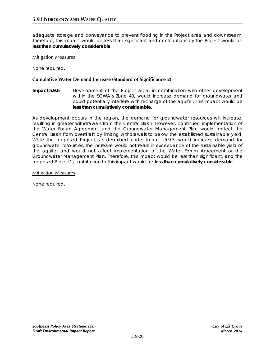adequate storage and conveyance to prevent flooding in the Project area and downstream. Therefore, this impact would be less than significant and contributions by the Project would be **less than cumulatively considerable**.

#### Mitigation Measures

None required.

## **Cumulative Water Demand Increase (Standard of Significance 2)**

**Impact 5.9.6** Development of the Project area, in combination with other development within the SCWA's Zone 40, would increase demand for groundwater and could potentially interfere with recharge of the aquifer. This impact would be **less than cumulatively considerable**.

As development occurs in the region, the demand for groundwater resources will increase, resulting in greater withdrawals from the Central Basin. However, continued implementation of the Water Forum Agreement and the Groundwater Management Plan would protect the Central Basin from overdraft by limiting withdrawals to below the established sustainable yield. While the proposed Project, as described under Impact 5.9.3, would increase demand for groundwater resources, the increase would not result in exceedance of the sustainable yield of the aquifer and would not affect implementation of the Water Forum Agreement or the Groundwater Management Plan. Therefore, this impact would be less than significant, and the proposed Project's contribution to this impact would be **less than cumulatively considerable**.

#### Mitigation Measures

None required.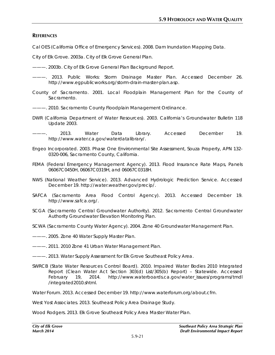## **REFERENCES**

Cal OES (California Office of Emergency Services). 2008. Dam Inundation Mapping Data.

City of Elk Grove. 2003a. *City of Elk Grove General Plan*.

———. 2003b. *City of Elk Grove General Plan Background Report*.

———. 2013. *Public Works: Storm Drainage Master Plan*. Accessed December 26. http://www.egpublicworks.org/storm-drain-master-plan.asp.

County of Sacramento. 2001. *Local Floodplain Management Plan for the County of Sacramento*.

———. 2010. *Sacramento County Floodplain Management Ordinance*.

- DWR (California Department of Water Resources). 2003. *California's Groundwater Bulletin 118 Update 2003*.
- ———. 2013. *Water Data Library*. Accessed December 19. http://www.water.ca.gov/waterdatalibrary/.
- Engeo Incorporated. 2003. *Phase One Environmental Site Assessment, Souza Property, APN 132- 0320-006, Sacramento County, California*.
- FEMA (Federal Emergency Management Agency). 2013. Flood Insurance Rate Maps, Panels 06067C0450H, 06067C0319H, and 06067C0318H.
- NWS (National Weather Service). 2013. *Advanced Hydrologic Prediction Service*. Accessed December 19. http://water.weather.gov/precip/.
- SAFCA (Sacramento Area Flood Control Agency). 2013. Accessed December 19. http://www.safca.org/.
- SCGA (Sacramento Central Groundwater Authority). 2012. *Sacramento Central Groundwater Authority Groundwater Elevation Monitoring Plan*.
- SCWA (Sacramento County Water Agency). 2004. *Zone 40 Groundwater Management Plan*.
- ———. 2005. *Zone 40 Water Supply Master Plan*.
- ———. 2011. *2010 Zone 41 Urban Water Management Plan*.
- ———. 2013. *Water Supply Assessment for Elk Grove Southeast Policy Area*.
- SWRCB (State Water Resources Control Board). 2010. *Impaired Water Bodies 2010 Integrated Report (Clean Water Act Section 303(d) List/305(b) Report) – Statewide*. Accessed February 19, 2014. http://www.waterboards.ca.gov/water\_issues/programs/tmdl /integrated2010.shtml.

Water Forum. 2013. Accessed December 19. http://www.waterforum.org/about.cfm.

West Yost Associates. 2013. *Southeast Policy Area Drainage Study*.

Wood Rodgers. 2013. *Elk Grove Southeast Policy Area Master Water Plan*.